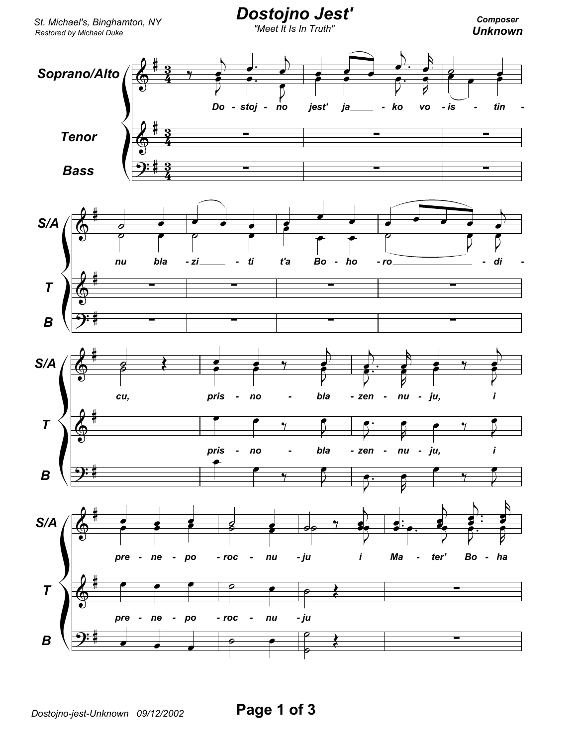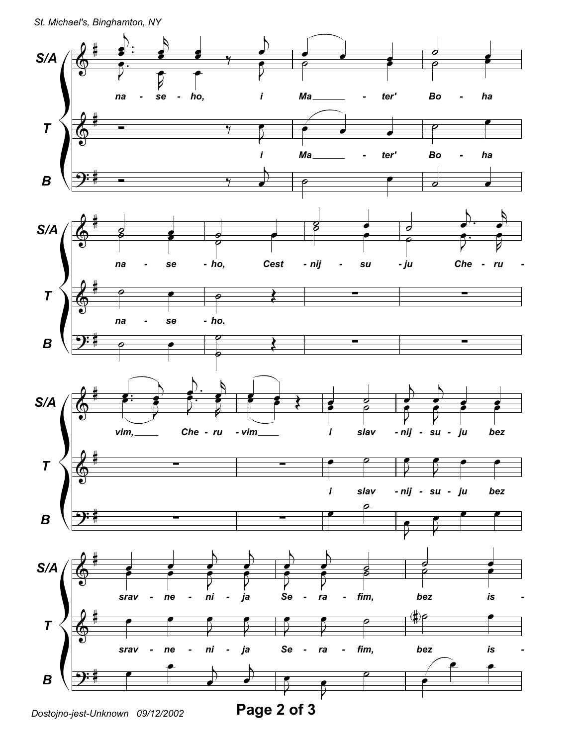

Dostojno-jest-Unknown 09/12/2002